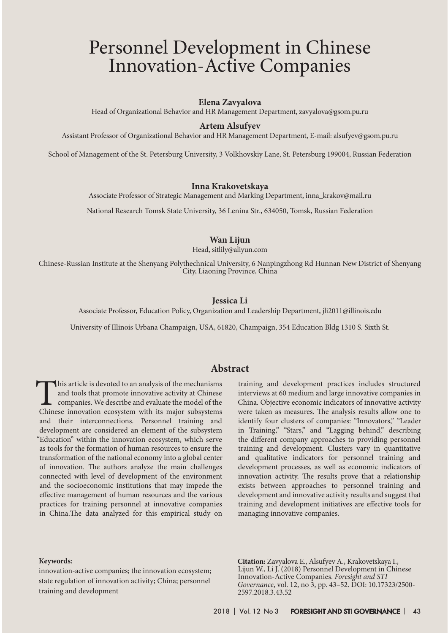# Personnel Development in Chinese Innovation-Active Companies

### **Elena Zavyalova**

Head of Organizational Behavior and HR Management Department, zavyalova@gsom.pu.ru

### **Artem Alsufyev**

Assistant Professor of Organizational Behavior and HR Management Department, E-mail: alsufyev@gsom.pu.ru

School of Management of the St. Petersburg University, 3 Volkhovskiy Lane, St. Petersburg 199004, Russian Federation

#### **Inna Krakovetskaya**

Associate Professor of Strategic Management and Marking Department, inna\_krakov@mail.ru

National Research Tomsk State University, 36 Lenina Str., 634050, Tomsk, Russian Federation

#### **Wan Lijun**

Head, sitlily@aliyun.com

Chinese-Russian Institute at the Shenyang Polythechnical University, 6 Nanpingzhong Rd Hunnan New District of Shenyang City, Liaoning Province, China

#### **Jessica Li**

Associate Professor, Education Policy, Organization and Leadership Department, jli2011@illinois.edu

University of Illinois Urbana Champaign, USA, 61820, Champaign, 354 Education Bldg 1310 S. Sixth St.

## **Abstract**

This article is devoted to an analysis of the mechanisms and tools that promote innovative activity at Chinese companies. We describe and evaluate the model of the Chinese innovation ecosystem with its major subsystems and their interconnections. Personnel training and development are considered an element of the subsystem "Education" within the innovation ecosystem, which serve as tools for the formation of human resources to ensure the transformation of the national economy into a global center of innovation. The authors analyze the main challenges connected with level of development of the environment and the socioeconomic institutions that may impede the effective management of human resources and the various practices for training personnel at innovative companies in China.The data analyzed for this empirical study on

training and development practices includes structured interviews at 60 medium and large innovative companies in China. Objective economic indicators of innovative activity were taken as measures. The analysis results allow one to identify four clusters of companies: "Innovators," "Leader in Training," "Stars," and "Lagging behind," describing the different company approaches to providing personnel training and development. Clusters vary in quantitative and qualitative indicators for personnel training and development processes, as well as economic indicators of innovation activity. The results prove that a relationship exists between approaches to personnel training and development and innovative activity results and suggest that training and development initiatives are effective tools for managing innovative companies.

#### **Кeywords:**

innovation-active companies; the innovation ecosystem; state regulation of innovation activity; China; personnel training and development

**Сitation:** Zavyalova E., Alsufyev A., Krakovetskaya I., Lijun W., Li J. (2018) Personnel Development in Chinese Innovation-Active Companies. *Foresight and STI Governance*, vol. 12, no 3, pp. 43–52. DOI: 10.17323/2500- 2597.2018.3.43.52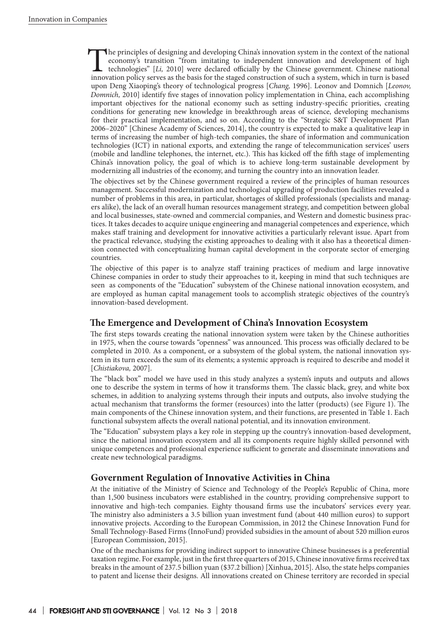The principles of designing and developing China's innovation system in the context of the national economy's transition "from imitating to independent innovation and development of high technologies" [*Li*, 2010] were dec economy's transition "from imitating to independent innovation and development of high technologies" [*Li,* 2010] were declared officially by the Chinese government. Chinese national upon Deng Xiaoping's theory of technological progress [*Chang,* 1996]. Leonov and Domnich [*Leonov, Domnich,* 2010] identify five stages of innovation policy implementation in China, each accomplishing important objectives for the national economy such as setting industry-specific priorities, creating conditions for generating new knowledge in breakthrough areas of science, developing mechanisms for their practical implementation, and so on. According to the "Strategic S&T Development Plan 2006–2020" [Chinese Academy of Sciences, 2014], the country is expected to make a qualitative leap in terms of increasing the number of high-tech companies, the share of information and communication technologies (ICT) in national exports, and extending the range of telecommunication services' users (mobile and landline telephones, the internet, etc.). This has kicked off the fifth stage of implementing China's innovation policy, the goal of which is to achieve long-term sustainable development by modernizing all industries of the economy, and turning the country into an innovation leader.

The objectives set by the Chinese government required a review of the principles of human resources management. Successful modernization and technological upgrading of production facilities revealed a number of problems in this area, in particular, shortages of skilled professionals (specialists and managers alike), the lack of an overall human resources management strategy, and competition between global and local businesses, state-owned and commercial companies, and Western and domestic business practices. It takes decades to acquire unique engineering and managerial competences and experience, which makes staff training and development for innovative activities a particularly relevant issue. Apart from the practical relevance, studying the existing approaches to dealing with it also has a theoretical dimension connected with conceptualizing human capital development in the corporate sector of emerging countries.

The objective of this paper is to analyze staff training practices of medium and large innovative Chinese companies in order to study their approaches to it, keeping in mind that such techniques are seen as components of the "Education" subsystem of the Chinese national innovation ecosystem, and are employed as human capital management tools to accomplish strategic objectives of the country's innovation-based development.

# **The Emergence and Development of China's Innovation Ecosystem**

The first steps towards creating the national innovation system were taken by the Chinese authorities in 1975, when the course towards "openness" was announced. This process was officially declared to be completed in 2010. As a component, or a subsystem of the global system, the national innovation system in its turn exceeds the sum of its elements; a systemic approach is required to describe and model it [*Chistiakova,* 2007].

The "black box" model we have used in this study analyzes a system's inputs and outputs and allows one to describe the system in terms of how it transforms them. The classic black, grey, and white box schemes, in addition to analyzing systems through their inputs and outputs, also involve studying the actual mechanism that transforms the former (resources) into the latter (products) (see Figure 1). The main components of the Chinese innovation system, and their functions, are presented in Table 1. Each functional subsystem affects the overall national potential, and its innovation environment.

The "Education" subsystem plays a key role in stepping up the country's innovation-based development, since the national innovation ecosystem and all its components require highly skilled personnel with unique competences and professional experience sufficient to generate and disseminate innovations and create new technological paradigms.

## **Government Regulation of Innovative Activities in China**

At the initiative of the Ministry of Science and Technology of the People's Republic of China, more than 1,500 business incubators were established in the country, providing comprehensive support to innovative and high-tech companies. Eighty thousand firms use the incubators' services every year. The ministry also administers a 3.5 billion yuan investment fund (about 440 million euros) to support innovative projects. According to the European Commission, in 2012 the Chinese Innovation Fund for Small Technology-Based Firms (InnoFund) provided subsidies in the amount of about 520 million euros [European Commission, 2015].

One of the mechanisms for providing indirect support to innovative Chinese businesses is a preferential taxation regime. For example, just in the first three quarters of 2015, Chinese innovative firms received tax breaks in the amount of 237.5 billion yuan (\$37.2 billion) [Xinhua, 2015]. Also, the state helps companies to patent and license their designs. All innovations created on Chinese territory are recorded in special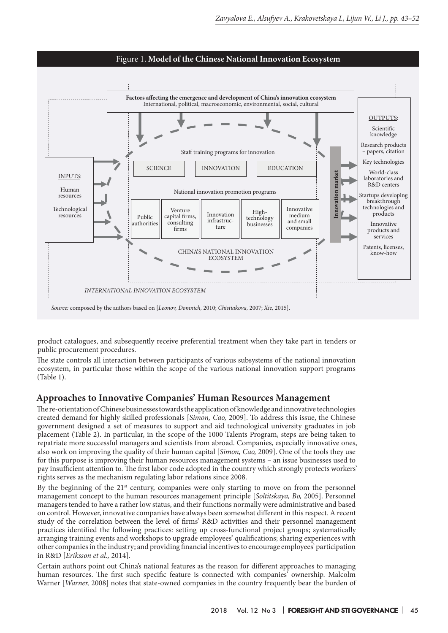

product catalogues, and subsequently receive preferential treatment when they take part in tenders or public procurement procedures.

The state controls all interaction between participants of various subsystems of the national innovation ecosystem, in particular those within the scope of the various national innovation support programs (Table 1).

## **Approaches to Innovative Companies' Human Resources Management**

The re-orientation of Chinese businesses towards the application of knowledge and innovative technologies created demand for highly skilled professionals [*Simon, Cao,* 2009]. To address this issue, the Chinese government designed a set of measures to support and aid technological university graduates in job placement (Table 2). In particular, in the scope of the 1000 Talents Program, steps are being taken to repatriate more successful managers and scientists from abroad. Companies, especially innovative ones, also work on improving the quality of their human capital [*Simon, Cao,* 2009]. One of the tools they use for this purpose is improving their human resources management systems – an issue businesses used to pay insufficient attention to. The first labor code adopted in the country which strongly protects workers' rights serves as the mechanism regulating labor relations since 2008.

By the beginning of the  $21<sup>st</sup>$  century, companies were only starting to move on from the personnel management concept to the human resources management principle [*Soltitskaya, Bo,* 2005]. Personnel managers tended to have a rather low status, and their functions normally were administrative and based on control. However, innovative companies have always been somewhat different in this respect. A recent study of the correlation between the level of firms' R&D activities and their personnel management practices identified the following practices: setting up cross-functional project groups; systematically arranging training events and workshops to upgrade employees' qualifications; sharing experiences with other companies in the industry; and providing financial incentives to encourage employees' participation in R&D [*Eriksson et al.,* 2014].

Certain authors point out China's national features as the reason for different approaches to managing human resources. The first such specific feature is connected with companies' ownership. Malcolm Warner [*Warner,* 2008] notes that state-owned companies in the country frequently bear the burden of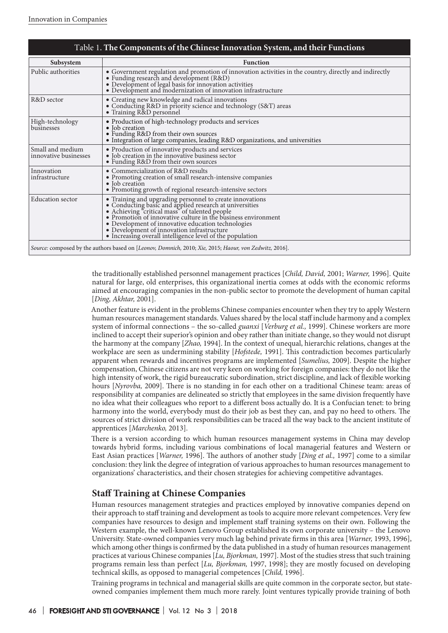| Table 1. The Components of the Chinese Innovation System, and their Functions |                                                                                                                                                                                                                                                                                                                                                                                                                         |  |  |
|-------------------------------------------------------------------------------|-------------------------------------------------------------------------------------------------------------------------------------------------------------------------------------------------------------------------------------------------------------------------------------------------------------------------------------------------------------------------------------------------------------------------|--|--|
| Subsystem                                                                     | <b>Function</b>                                                                                                                                                                                                                                                                                                                                                                                                         |  |  |
| Public authorities                                                            | $\bullet$ Government regulation and promotion of innovation activities in the country, directly and indirectly $\bullet$ Funding research and development (R&D)<br>• Development of legal basis for innovation activities<br>• Development and modernization of innovation infrastructure                                                                                                                               |  |  |
| R&D sector                                                                    | • Creating new knowledge and radical innovations<br>• Conducting R&D in priority science and technology (S&T) areas<br>• Training R&D personnel                                                                                                                                                                                                                                                                         |  |  |
| High-technology<br>businesses                                                 | • Production of high-technology products and services<br>• Job creation<br>• Funding R&D from their own sources<br>• Integration of large companies, leading R&D organizations, and universities                                                                                                                                                                                                                        |  |  |
| Small and medium<br>innovative businesses                                     | • Production of innovative products and services<br>• Job creation in the innovative business sector<br>• Funding R&D from their own sources                                                                                                                                                                                                                                                                            |  |  |
| Innovation<br>infrastructure                                                  | • Commercialization of R&D results<br>• Promoting creation of small research-intensive companies<br>• Job creation<br>• Promoting growth of regional research-intensive sectors                                                                                                                                                                                                                                         |  |  |
| <b>Education</b> sector                                                       | • Training and upgrading personnel to create innovations<br>• Conducting basic and applied research at universities<br>• Achieving "critical mass" of talented people<br>• Promotion of innovative culture in the business environment<br>$\bullet$ Development of innovative education technologies<br>$\bullet$ Development of innovation infrastructure<br>• Increasing overall intelligence level of the population |  |  |
|                                                                               | Source: composed by the authors based on [Leonov, Domnich, 2010; Xie, 2015; Haour, von Zedwitz, 2016].                                                                                                                                                                                                                                                                                                                  |  |  |

the traditionally established personnel management practices [*Child, David,* 2001; *Warner,* 1996]. Quite natural for large, old enterprises, this organizational inertia comes at odds with the economic reforms aimed at encouraging companies in the non-public sector to promote the development of human capital [*Ding, Akhtar,* 2001].

Another feature is evident in the problems Chinese companies encounter when they try to apply Western human resources management standards. Values shared by the local staff include harmony and a complex system of informal connections – the so-called *guanxi* [*Verburg et al.,* 1999]. Chinese workers are more inclined to accept their superior's opinion and obey rather than initiate change, so they would not disrupt the harmony at the company [*Zhao,* 1994]. In the context of unequal, hierarchic relations, changes at the workplace are seen as undermining stability [*Hofstede,* 1991]. This contradiction becomes particularly apparent when rewards and incentives programs are implemented [*Sumelius,* 2009]. Despite the higher compensation, Chinese citizens are not very keen on working for foreign companies: they do not like the high intensity of work, the rigid bureaucratic subordination, strict discipline, and lack of flexible working hours [*Nyrovba,* 2009]. There is no standing in for each other on a traditional Chinese team: areas of responsibility at companies are delineated so strictly that employees in the same division frequently have no idea what their colleagues who report to a different boss actually do. It is a Confucian tenet: to bring harmony into the world, everybody must do their job as best they can, and pay no heed to others. The sources of strict division of work responsibilities can be traced all the way back to the ancient institute of apprentices [*Marchenko,* 2013].

There is a version according to which human resources management systems in China may develop towards hybrid forms, including various combinations of local managerial features and Western or East Asian practices [*Warner,* 1996]. The authors of another study [*Ding et al.,* 1997] come to a similar conclusion: they link the degree of integration of various approaches to human resources management to organizations' characteristics, and their chosen strategies for achieving competitive advantages.

# **Staff Training at Chinese Companies**

Human resources management strategies and practices employed by innovative companies depend on their approach to staff training and development as tools to acquire more relevant competences. Very few companies have resources to design and implement staff training systems on their own. Following the Western example, the well-known Lenovo Group established its own corporate university – the Lenovo University. State-owned companies very much lag behind private firms in this area [*Warner,* 1993, 1996], which among other things is confirmed by the data published in a study of human resources management practices at various Chinese companies [*Lu, Bjorkman,* 1997]. Most of the studies stress that such training programs remain less than perfect [*Lu, Bjorkman,* 1997, 1998]; they are mostly focused on developing technical skills, as opposed to managerial competences [*Child,* 1996].

Training programs in technical and managerial skills are quite common in the corporate sector, but stateowned companies implement them much more rarely. Joint ventures typically provide training of both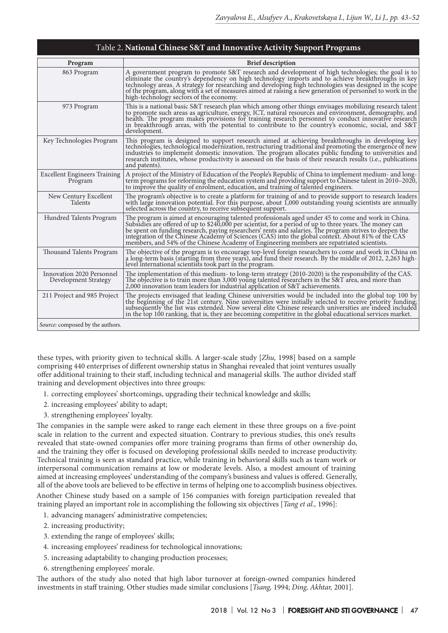| Program                                           | <b>Brief description</b>                                                                                                                                                                                                                                                                                                                                                                                                                                                                                                       |
|---------------------------------------------------|--------------------------------------------------------------------------------------------------------------------------------------------------------------------------------------------------------------------------------------------------------------------------------------------------------------------------------------------------------------------------------------------------------------------------------------------------------------------------------------------------------------------------------|
| 863 Program                                       | A government program to promote S&T research and development of high technologies; the goal is to<br>eliminate the country's dependency on high technology imports and to achieve breakthroughs in key<br>technology areas. A strategy for researching and developing high technologies was designed in the scope<br>of the program, along with a set of measures aimed at raising a new generation of personnel to work in the<br>high-technology sectors of the economy.                                                     |
| 973 Program                                       | This is a national basic S&T research plan which among other things envisages mobilizing research talent<br>to promote such areas as agriculture, energy, ICT, natural resources and environment, demography, and<br>health. The program makes provisions for training research personnel to conduct innovative research<br>in breakthrough areas, with the potential to contribute to the country's economic, social, and S&T<br>development.                                                                                 |
| Key Technologies Program                          | This program is designed to support research aimed at achieving breakthroughs in developing key<br>technologies, technological modernization, restructuring traditional and promoting the emergence of new<br>industries to implement domestic innovation. The program allocates public funding to universities and<br>research institutes, whose productivity is assessed on the basis of their research results (i.e., publications<br>and patents).                                                                         |
| <b>Excellent Engineers Training</b><br>Program    | A project of the Ministry of Education of the People's Republic of China to implement medium- and long-<br>term programs for reforming the education system and providing support to Chinese talent in 2010-2020,<br>to improve the quality of enrolment, education, and training of talented engineers.                                                                                                                                                                                                                       |
| New Century Excellent<br>Talents                  | The program's objective is to create a platform for training of and to provide support to research leaders<br>with large innovation potential. For this purpose, about 1,000 outstanding young scientists are annually<br>selected across the country, to receive subsequent support.                                                                                                                                                                                                                                          |
| Hundred Talents Program                           | The program is aimed at encouraging talented professionals aged under 45 to come and work in China.<br>Subsidies are offered of up to \$240,000 per scientist, for a period of up to three years. The money can<br>be spent on funding research, paying researchers' rents and salaries. The program strives to deepen the<br>integration of the Chinese Academy of Sciences (CAS) into the global context. About 81% of the CAS<br>members, and 54% of the Chinese Academy of Engineering members are repatriated scientists. |
| Thousand Talents Program                          | The objective of the program is to encourage top-level foreign researchers to come and work in China on<br>a long-term basis (starting from three years), and fund their research. By the middle of 2012, 2,263 high-<br>level international scientists took part in the program.                                                                                                                                                                                                                                              |
| Innovation 2020 Personnel<br>Development Strategy | The implementation of this medium- to long-term strategy (2010-2020) is the responsibility of the CAS.<br>The objective is to train more than 3,000 young talented researchers in the S&T area, and more than<br>2,000 innovation team leaders for industrial application of S&T achievements.                                                                                                                                                                                                                                 |
| 211 Project and 985 Project                       | The projects envisaged that leading Chinese universities would be included into the global top 100 by<br>the beginning of the 21st century. Nine universities were initially selected to receive priority funding;<br>subsequently the list was extended. Now several elite Chinese research universities are indeed included<br>in the top 100 ranking, that is, they are becoming competitive in the global educational services market.                                                                                     |
| Source: composed by the authors.                  |                                                                                                                                                                                                                                                                                                                                                                                                                                                                                                                                |

these types, with priority given to technical skills. A larger-scale study [*Zhu,* 1998] based on a sample comprising 440 enterprises of different ownership status in Shanghai revealed that joint ventures usually offer additional training to their staff, including technical and managerial skills. The author divided staff training and development objectives into three groups:

- 1. correcting employees' shortcomings, upgrading their technical knowledge and skills;
- 2. increasing employees' ability to adapt;
- 3. strengthening employees' loyalty.

The companies in the sample were asked to range each element in these three groups on a five-point scale in relation to the current and expected situation. Contrary to previous studies, this one's results revealed that state-owned companies offer more training programs than firms of other ownership do, and the training they offer is focused on developing professional skills needed to increase productivity. Technical training is seen as standard practice, while training in behavioral skills such as team work or interpersonal communication remains at low or moderate levels. Also, a modest amount of training aimed at increasing employees' understanding of the company's business and values is offered. Generally, all of the above tools are believed to be effective in terms of helping one to accomplish business objectives.

Another Chinese study based on a sample of 156 companies with foreign participation revealed that training played an important role in accomplishing the following six objectives [*Tang et al.,* 1996]:

- 1. advancing managers' administrative competencies;
- 2. increasing productivity;
- 3. extending the range of employees' skills;
- 4. increasing employees' readiness for technological innovations;
- 5. increasing adaptability to changing production processes;
- 6. strengthening employees' morale.

The authors of the study also noted that high labor turnover at foreign-owned companies hindered investments in staff training. Other studies made similar conclusions [*Tsang,* 1994; *Ding, Akhtar,* 2001].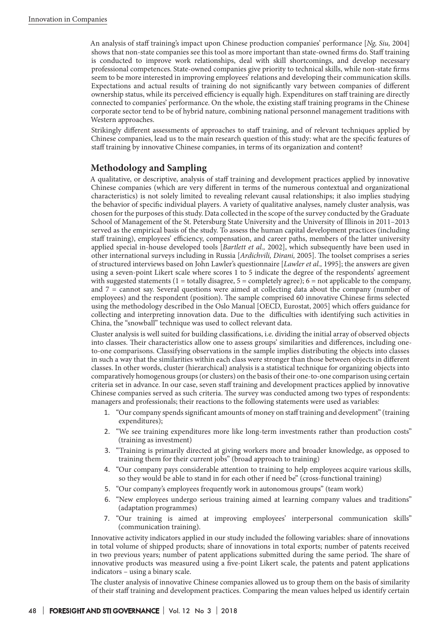An analysis of staff training's impact upon Chinese production companies' performance [*Ng, Siu,* 2004] shows that non-state companies see this tool as more important than state-owned firms do. Staff training is conducted to improve work relationships, deal with skill shortcomings, and develop necessary professional competences. State-owned companies give priority to technical skills, while non-state firms seem to be more interested in improving employees' relations and developing their communication skills. Expectations and actual results of training do not significantly vary between companies of different ownership status, while its perceived efficiency is equally high. Expenditures on staff training are directly connected to companies' performance. On the whole, the existing staff training programs in the Chinese corporate sector tend to be of hybrid nature, combining national personnel management traditions with Western approaches.

Strikingly different assessments of approaches to staff training, and of relevant techniques applied by Chinese companies, lead us to the main research question of this study: what are the specific features of staff training by innovative Chinese companies, in terms of its organization and content?

# **Methodology and Sampling**

A qualitative, or descriptive, analysis of staff training and development practices applied by innovative Chinese companies (which are very different in terms of the numerous contextual and organizational characteristics) is not solely limited to revealing relevant causal relationships; it also implies studying the behavior of specific individual players. A variety of qualitative analyses, namely cluster analysis, was chosen for the purposes of this study. Data collected in the scope of the survey conducted by the Graduate School of Management of the St. Petersburg State University and the University of Illinois in 2011–2013 served as the empirical basis of the study. To assess the human capital development practices (including staff training), employees' efficiency, compensation, and career paths, members of the latter university applied special in-house developed tools [*Bartlett et al.,* 2002], which subsequently have been used in other international surveys including in Russia [*Ardichvili, Dirani,* 2005]. The toolset comprises a series of structured interviews based on John Lawler's questionnaire [*Lawler et al.,* 1995]; the answers are given using a seven-point Likert scale where scores 1 to 5 indicate the degree of the respondents' agreement with suggested statements  $(1 = \text{totally disagree}, 5 = \text{completely agree})$ ;  $6 = \text{not applicable to the company}$ , and 7 = cannot say. Several questions were aimed at collecting data about the company (number of employees) and the respondent (position). The sample comprised 60 innovative Chinese firms selected using the methodology described in the Oslo Manual [OECD, Eurostat, 2005] which offers guidance for collecting and interpreting innovation data. Due to the difficulties with identifying such activities in China, the "snowball" technique was used to collect relevant data.

Cluster analysis is well suited for building classifications, i.e. dividing the initial array of observed objects into classes. Their characteristics allow one to assess groups' similarities and differences, including oneto-one comparisons. Classifying observations in the sample implies distributing the objects into classes in such a way that the similarities within each class were stronger than those between objects in different classes. In other words, cluster (hierarchical) analysis is a statistical technique for organizing objects into comparatively homogenous groups (or clusters) on the basis of their one-to-one comparison using certain criteria set in advance. In our case, seven staff training and development practices applied by innovative Chinese companies served as such criteria. The survey was conducted among two types of respondents: managers and professionals; their reactions to the following statements were used as variables:

- 1. "Our company spends significant amounts of money on staff training and development" (training expenditures);
- 2. "We see training expenditures more like long-term investments rather than production costs" (training as investment)
- 3. "Training is primarily directed at giving workers more and broader knowledge, as opposed to training them for their current jobs" (broad approach to training)
- 4. "Our company pays considerable attention to training to help employees acquire various skills, so they would be able to stand in for each other if need be" (cross-functional training)
- 5. "Our company's employees frequently work in autonomous groups" (team work)
- 6. "New employees undergo serious training aimed at learning company values and traditions" (adaptation programmes)
- 7. "Our training is aimed at improving employees' interpersonal communication skills" (communication training).

Innovative activity indicators applied in our study included the following variables: share of innovations in total volume of shipped products; share of innovations in total exports; number of patents received in two previous years; number of patent applications submitted during the same period. The share of innovative products was measured using a five-point Likert scale, the patents and patent applications indicators – using a binary scale.

The cluster analysis of innovative Chinese companies allowed us to group them on the basis of similarity of their staff training and development practices. Comparing the mean values helped us identify certain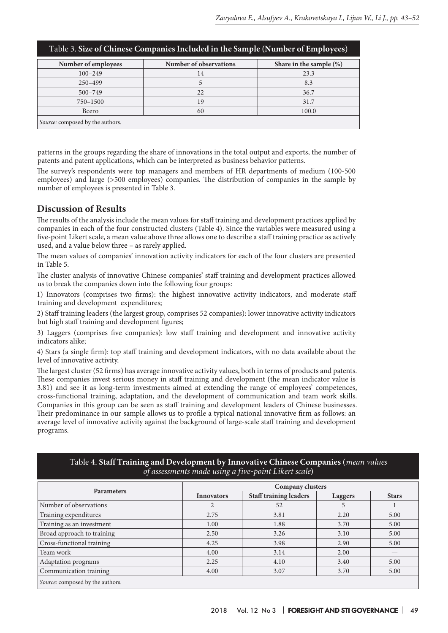| Table 3. Size of Chinese Companies Included in the Sample (Number of Employees) |                        |                            |  |  |  |  |
|---------------------------------------------------------------------------------|------------------------|----------------------------|--|--|--|--|
| Number of employees                                                             | Number of observations | Share in the sample $(\%)$ |  |  |  |  |
| $100 - 249$                                                                     | 14                     | 23.3                       |  |  |  |  |
| $250 - 499$                                                                     | 5                      | 8.3                        |  |  |  |  |
| $500 - 749$                                                                     | 22                     | 36.7                       |  |  |  |  |
| 750-1500                                                                        | 19                     | 31.7                       |  |  |  |  |
| Всего                                                                           | 60                     | 100.0                      |  |  |  |  |
| Source: composed by the authors.                                                |                        |                            |  |  |  |  |

patterns in the groups regarding the share of innovations in the total output and exports, the number of patents and patent applications, which can be interpreted as business behavior patterns.

The survey's respondents were top managers and members of HR departments of medium (100-500 employees) and large (>500 employees) companies. The distribution of companies in the sample by number of employees is presented in Table 3.

## **Discussion of Results**

The results of the analysis include the mean values for staff training and development practices applied by companies in each of the four constructed clusters (Table 4). Since the variables were measured using a five-point Likert scale, a mean value above three allows one to describe a staff training practice as actively used, and a value below three – as rarely applied.

The mean values of companies' innovation activity indicators for each of the four clusters are presented in Table 5.

The cluster analysis of innovative Chinese companies' staff training and development practices allowed us to break the companies down into the following four groups:

1) Innovators (comprises two firms): the highest innovative activity indicators, and moderate staff training and development expenditures;

2) Staff training leaders (the largest group, comprises 52 companies): lower innovative activity indicators but high staff training and development figures;

3) Laggers (comprises five companies): low staff training and development and innovative activity indicators alike;

4) Stars (a single firm): top staff training and development indicators, with no data available about the level of innovative activity.

The largest cluster (52 firms) has average innovative activity values, both in terms of products and patents. These companies invest serious money in staff training and development (the mean indicator value is 3.81) and see it as long-term investments aimed at extending the range of employees' competences, cross-functional training, adaptation, and the development of communication and team work skills. Companies in this group can be seen as staff training and development leaders of Chinese businesses. Their predominance in our sample allows us to profile a typical national innovative firm as follows: an average level of innovative activity against the background of large-scale staff training and development programs.

| of assessments made using a five-point Likert scale) |                   |                               |      |              |  |  |  |  |  |
|------------------------------------------------------|-------------------|-------------------------------|------|--------------|--|--|--|--|--|
| <b>Parameters</b>                                    | Company clusters  |                               |      |              |  |  |  |  |  |
|                                                      | <b>Innovators</b> | <b>Staff training leaders</b> |      | <b>Stars</b> |  |  |  |  |  |
| Number of observations                               | $\overline{2}$    | 52                            | 5    |              |  |  |  |  |  |
| Training expenditures                                | 2.75              | 3.81                          | 2.20 | 5.00         |  |  |  |  |  |
| Training as an investment                            | 1.00              | 1.88                          | 3.70 | 5.00         |  |  |  |  |  |
| Broad approach to training                           | 2.50              | 3.26                          | 3.10 | 5.00         |  |  |  |  |  |
| Cross-functional training                            | 4.25              | 3.98                          | 2.90 | 5.00         |  |  |  |  |  |
| Team work                                            | 4.00              | 3.14                          | 2.00 |              |  |  |  |  |  |
| Adaptation programs                                  | 2.25              | 4.10                          | 3.40 | 5.00         |  |  |  |  |  |
| Communication training                               | 4.00              | 3.07                          | 3.70 | 5.00         |  |  |  |  |  |

## Таble 4. **Staff Training and Development by Innovative Chinese Companies (***mean values of assessments made using a five-point Likert scale***)**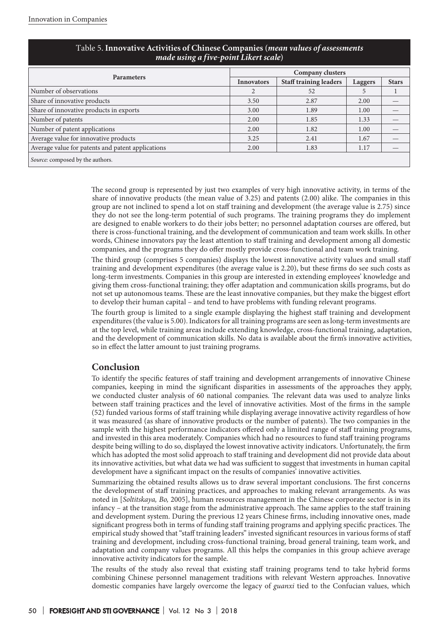| Table 9. Hillovative Activities of Chinese Companies ( <i>mean values of assessments</i><br>made using a five-point Likert scale) |                   |                               |         |              |  |  |  |  |
|-----------------------------------------------------------------------------------------------------------------------------------|-------------------|-------------------------------|---------|--------------|--|--|--|--|
|                                                                                                                                   | Company clusters  |                               |         |              |  |  |  |  |
| <b>Parameters</b>                                                                                                                 | <b>Innovators</b> | <b>Staff training leaders</b> | Laggers | <b>Stars</b> |  |  |  |  |
| Number of observations                                                                                                            |                   | 52                            | 5       |              |  |  |  |  |
| Share of innovative products                                                                                                      | 3.50              | 2.87                          | 2.00    |              |  |  |  |  |
| Share of innovative products in exports                                                                                           | 3.00              | 1.89                          | 1.00    |              |  |  |  |  |
| Number of patents                                                                                                                 | 2.00              | 1.85                          | 1.33    |              |  |  |  |  |
| Number of patent applications                                                                                                     | 2.00              | 1.82                          | 1.00    |              |  |  |  |  |
| Average value for innovative products                                                                                             | 3.25              | 2.41                          | 1.67    |              |  |  |  |  |
| Average value for patents and patent applications                                                                                 | 2.00              | 1.83                          | 1.17    |              |  |  |  |  |
| Source: composed by the authors.                                                                                                  |                   |                               |         |              |  |  |  |  |

# Таble 5. **Innovative Activities of Chinese Companies (***mean values of assessments*

The second group is represented by just two examples of very high innovative activity, in terms of the share of innovative products (the mean value of 3.25) and patents (2.00) alike. The companies in this group are not inclined to spend a lot on staff training and development (the average value is 2.75) since they do not see the long-term potential of such programs. The training programs they do implement are designed to enable workers to do their jobs better; no personnel adaptation courses are offered, but there is cross-functional training, and the development of communication and team work skills. In other words, Chinese innovators pay the least attention to staff training and development among all domestic companies, and the programs they do offer mostly provide cross-functional and team work training.

The third group (comprises 5 companies) displays the lowest innovative activity values and small staff training and development expenditures (the average value is 2.20), but these firms do see such costs as long-term investments. Companies in this group are interested in extending employees' knowledge and giving them cross-functional training; they offer adaptation and communication skills programs, but do not set up autonomous teams. These are the least innovative companies, but they make the biggest effort to develop their human capital – and tend to have problems with funding relevant programs.

The fourth group is limited to a single example displaying the highest staff training and development expenditures (the value is 5.00). Indicators for all training programs are seen as long-term investments are at the top level, while training areas include extending knowledge, cross-functional training, adaptation, and the development of communication skills. No data is available about the firm's innovative activities, so in effect the latter amount to just training programs.

# **Conclusion**

To identify the specific features of staff training and development arrangements of innovative Chinese companies, keeping in mind the significant disparities in assessments of the approaches they apply, we conducted cluster analysis of 60 national companies. The relevant data was used to analyze links between staff training practices and the level of innovative activities. Most of the firms in the sample (52) funded various forms of staff training while displaying average innovative activity regardless of how it was measured (as share of innovative products or the number of patents). The two companies in the sample with the highest performance indicators offered only a limited range of staff training programs, and invested in this area moderately. Companies which had no resources to fund staff training programs despite being willing to do so, displayed the lowest innovative activity indicators. Unfortunately, the firm which has adopted the most solid approach to staff training and development did not provide data about its innovative activities, but what data we had was sufficient to suggest that investments in human capital development have a significant impact on the results of companies' innovative activities.

Summarizing the obtained results allows us to draw several important conclusions. The first concerns the development of staff training practices, and approaches to making relevant arrangements. As was noted in [*Soltitskaya, Bo,* 2005], human resources management in the Chinese corporate sector is in its infancy – at the transition stage from the administrative approach. The same applies to the staff training and development system. During the previous 12 years Chinese firms, including innovative ones, made significant progress both in terms of funding staff training programs and applying specific practices. The empirical study showed that "staff training leaders" invested significant resources in various forms of staff training and development, including cross-functional training, broad general training, team work, and adaptation and company values programs. All this helps the companies in this group achieve average innovative activity indicators for the sample.

The results of the study also reveal that existing staff training programs tend to take hybrid forms combining Chinese personnel management traditions with relevant Western approaches. Innovative domestic companies have largely overcome the legacy of *guanxi* tied to the Confucian values, which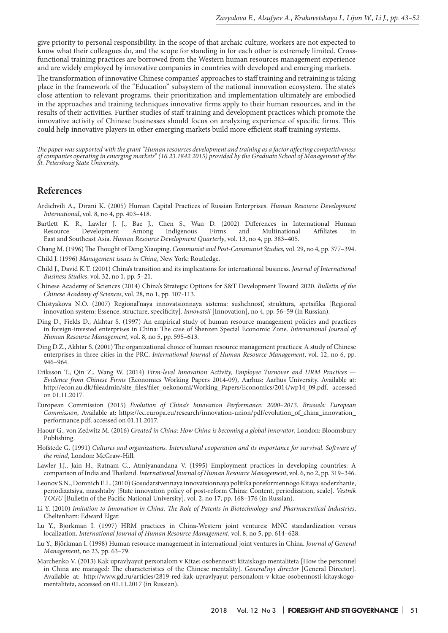give priority to personal responsibility. In the scope of that archaic culture, workers are not expected to know what their colleagues do, and the scope for standing in for each other is extremely limited. Crossfunctional training practices are borrowed from the Western human resources management experience and are widely employed by innovative companies in countries with developed and emerging markets.

The transformation of innovative Chinese companies' approaches to staff training and retraining is taking place in the framework of the "Education" subsystem of the national innovation ecosystem. The state's close attention to relevant programs, their prioritization and implementation ultimately are embodied in the approaches and training techniques innovative firms apply to their human resources, and in the results of their activities. Further studies of staff training and development practices which promote the innovative activity of Chinese businesses should focus on analyzing experience of specific firms. This could help innovative players in other emerging markets build more efficient staff training systems.

*The paper was supported with the grant "Human resources development and training as a factor affecting competitiveness of companies operating in emerging markets" (16.23.1842.2015) provided by the Graduate School of Management of the St. Petersburg State University.*

## **References**

- Ardichvili A., Dirani K. (2005) Human Capital Practices of Russian Enterprises. *Human Resource Development International*, vol. 8, no 4, pp. 403–418.
- Bartlett K. R., Lawler J. J., Bae J., Chen S., Wan D. (2002) Differences in International Human<br>Resource Development Among Indigenous Firms and Multinational Affiliates in Resource Development Among Indigenous Firms and Multinational Affiliates in East and Southeast Asia. *Human Resource Development Quarterly*, vol. 13, no 4, pp. 383–405.
- Chang M. (1996) The Thought of Deng Xiaoping. *Communist and Post-Communist Studies*, vol. 29, no 4, pp. 377–394.
- Child J. (1996) *Management issues in China*, New York: Routledge.
- Child J., David K.T. (2001) China's transition and its implications for international business. *Journal of International Business Studies*, vol. 32, no 1, pp. 5–21.
- Chinese Academy of Sciences (2014) China's Strategic Options for S&T Development Toward 2020. *Bulletin of the Chinese Academy of Sciences*, vol. 28, no 1, pp. 107-113.
- Chistyakova N.O. (2007) Regional'naya innovatsionnaya sistema: sushchnost', struktura, spetsifika [Regional innovation system: Essence, structure, specificity]. *Innovatsii* [Innovation], no 4, pp. 56–59 (in Russian).
- Ding D., Fields D., Akhtar S. (1997) An empirical study of human resource management policies and practices in foreign-invested enterprises in China: The case of Shenzen Special Economic Zone. *International Journal of Human Resource Management*, vol. 8, no 5, pp. 595–613.
- Ding D.Z., Akhtar S. (2001) The organizational choice of human resource management practices: A study of Chinese enterprises in three cities in the PRC. *International Journal of Human Resource Management*, vol. 12, no 6, pp. 946–964.
- Eriksson T., Qin Z., Wang W. (2014) *Firm-level Innovation Activity, Employee Turnover and HRM Practices Evidence from Chinese Firms* (Economics Working Papers 2014-09), Aarhus: Aarhus University. Available at: http://econ.au.dk/fileadmin/site\_files/filer\_oekonomi/Working\_Papers/Economics/2014/wp14\_09.pdf, accessed on 01.11.2017.
- European Commission (2015) *Evolution of China's Innovation Performance: 2000–2013. Brussels: European Commission*, Available at: https://ec.europa.eu/research/innovation-union/pdf/evolution\_of\_china\_innovation\_ performance.pdf, accessed on 01.11.2017.
- Haour G., von Zedwitz M. (2016) *Created in China: How China is becoming a global innovator*, London: Bloomsbury Publishing.
- Hofstede G. (1991) *Cultures and organizations. Intercultural cooperation and its importance for survival. Software of the mind*, London: McGraw-Hill.
- Lawler J.J., Jain H., Ratnam C., Atmiyanandana V. (1995) Employment practices in developing countries: A comparison of India and Thailand. *International Journal of Human Resource Management*, vol. 6, no 2, pp. 319–346.
- Leonov S.N., Domnich E.L. (2010) Gosudarstvennaya innovatsionnaya politika poreformennogo Kitaya: soderzhanie, periodizatsiya, masshtaby [State innovation policy of post-reform China: Content, periodization, scale]. *Vestnik TOGU* [Bulletin of the Pacific National University], vol. 2, no 17, pp. 168–176 (in Russian).
- Li Y. (2010) *Imitation to Innovation in China. The Role of Patents in Biotechnology and Pharmaceutical Industries*, Cheltenham: Edward Elgar.
- Lu Y., Bjorkman I. (1997) HRM practices in China-Western joint ventures: MNC standardization versus localization. *International Journal of Human Resource Management*, vol. 8, no 5, pp. 614–628.
- Lu Y., Björkman I. (1998) Human resource management in international joint ventures in China. *Journal of General Management*, no 23, pp. 63–79.
- Marchenko V. (2013) Kak upravlyayut personalom v Kitae: osobennosti kitaiskogo mentaliteta [How the personnel in China are managed: The characteristics of the Chinese mentality]. *General'nyi director* [General Director]. Available at: http://www.gd.ru/articles/2819-red-kak-upravlyayut-personalom-v-kitae-osobennosti-kitayskogomentaliteta, accessed on 01.11.2017 (in Russian).